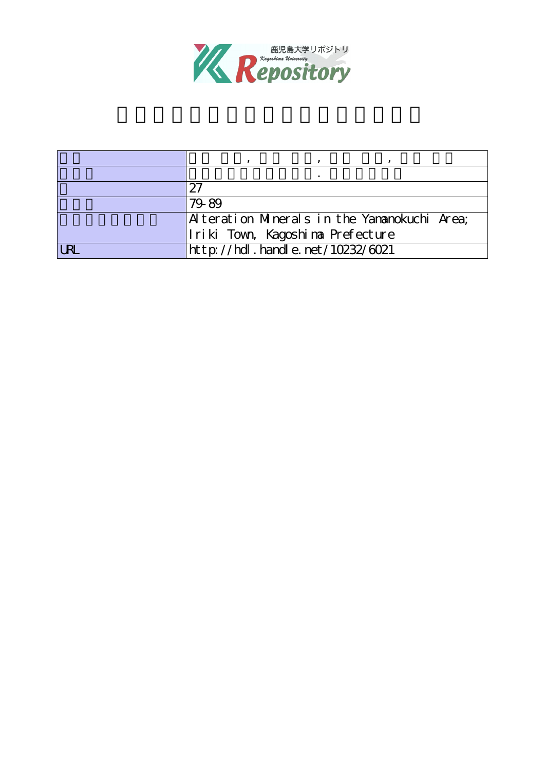

| 97                                           |
|----------------------------------------------|
| 79-89                                        |
| Alteration Minerals in the Yananokuchi Area; |
| Iriki Town, Kagoshima Prefecture             |
| http://hdl.handle.net/10232/6021             |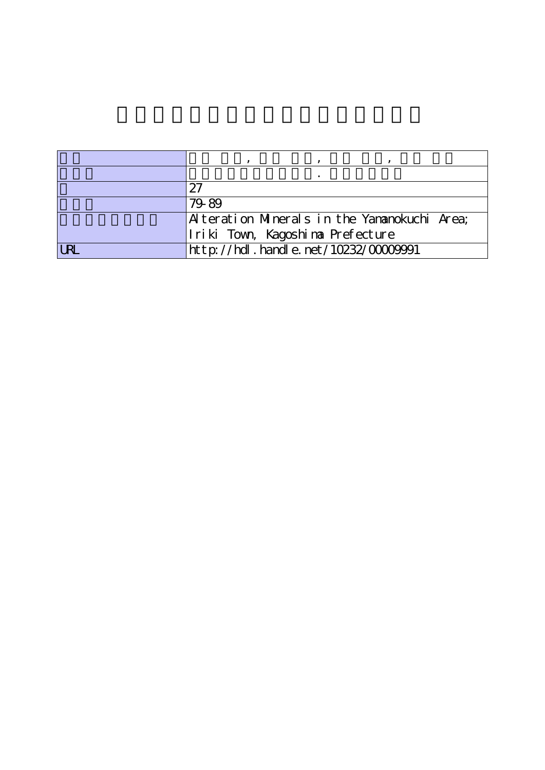| 97                                           |
|----------------------------------------------|
| 79-89                                        |
| Alteration Minerals in the Yananokuchi Area; |
| Iriki Town, Kagoshima Prefecture             |
| http://hdl.handle.net/10232/0000991          |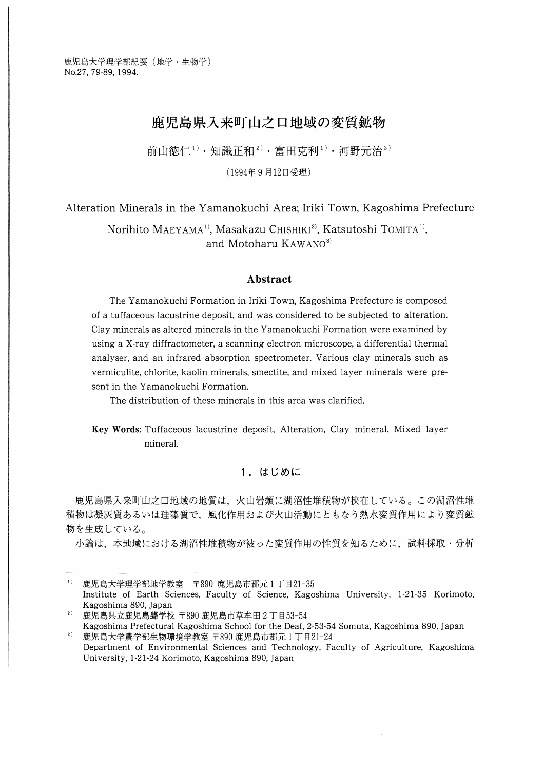# 鹿児島県入来町山之口地域の変質鉱物

前山徳仁<sup>1)</sup> ・知識正和<sup>2)</sup> ・富田克利<sup>1)</sup> ・河野元治<sup>3)</sup>

(1994年9月12日受理)

Alteration Minerals in the Yamanokuchi Area; Iriki Town, Kagoshima Prefecture

Norihito MAEYAMA<sup>1)</sup>, Masakazu CHISHIKI<sup>2)</sup>, Katsutoshi TOMITA<sup>1)</sup>, and Motoharu KAWANO<sup>3)</sup>

### Abstract

The Yamanokuchi Formation in Iriki Town, Kagoshima Prefecture is composed of a tuffaceous lacustrine deposit, and was considered to be subjected to alteration. Clay minerals as altered minerals in the Yamanokuchi Formation were examined by using a X-ray diffractometer, a scanning electron microscope, a differential thermal analyser, and an infrared absorption spectrometer. Various clay minerals such as vermiculite, chlorite, kaolin minerals, smectite, and mixed layer minerals were present in the Yamanokuchi Formation.

The distribution of these minerals in this area was clarified.

Key Words: Tuffaceous lacustrine deposit, Alteration, Clay mineral, Mixed layer mineral.

# 1.はじめに

鹿児島県入来町山之口地域の地質は,火山岩類に湖沼性堆積物が挟在している。この湖沼性堆 積物は凝灰質あるいは珪藻質で,風化作用および火山活動にともなう熱水変質作用により変質鉱 物を生成している。

小論は,本地域における湖沼性堆積物が被った変質作用の性質を知るために,試料採取・分析

 $1)$  鹿児島大学理学部地学教室 〒890 鹿児島市郡元1丁目21-35 Institute of Earth Sciences, Faculty of Science, Kagoshima University, 1-21-35 Korimoto, Kagoshima 890, Japan

<sup>2)</sup>鹿児島県立鹿児島聾学校〒890鹿児島市草牟田2丁目53-54 Kagoshima Prefectural Kagoshima School for the Deaf, 2-53-54 Somuta, Kagoshima 890, Japan

<sup>2)</sup>鹿児島大学農学部生物環境学教室〒890鹿児島市郡元1丁目21-24 Department of Environmental Sciences and Technology, Faculty of Agriculture, Kagoshima University, 1-21-24 Korimoto, Kagoshima 890, Japan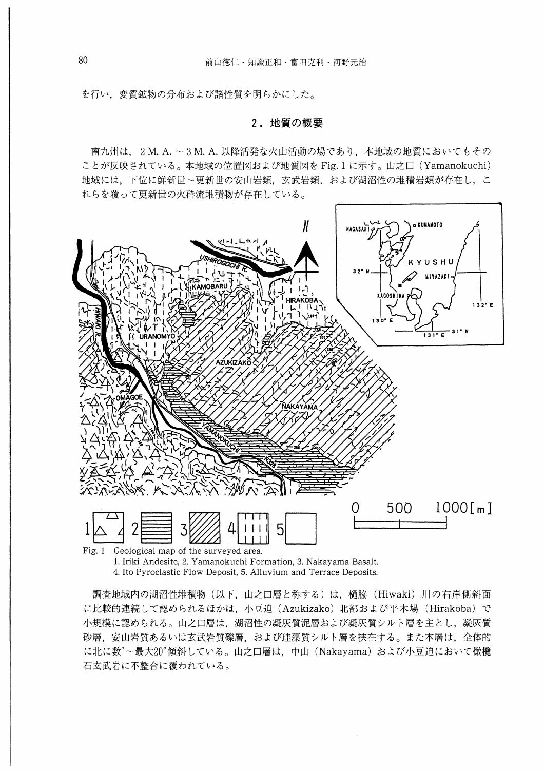を行い,変質鉱物の分布および諸性質を明らかにした。

#### 2.地質の概要

南九州は, 2M.A.-3M.A.以降活発な火山活動の場であり,本地域の地質においてもその ことが反映されている。本地域の位置図および地質図を Fig. 1に示す。山之口(Yamanokuchi) 地域には,下位に鮮新世~更新世の安山岩類,玄武岩類,および湖沼性の堆積岩類が存在し,こ れらを覆って更新世の火砕流堆積物が存在している。



<sup>1.</sup> Iriki Andesite, 2. Yamanokuchi Formation, 3. Nakayama Basalt. 4. Ito Pyroclastic Flow Deposit, 5. Alluvium and Terrace Deposits.

調査地域内の湖沼性堆積物(以下,山之口層と称する)は、樋脇(Hiwaki) 川の右岸側斜面 に比較的連続して認められるほかは,小豆迫(Azukizako)北部および平木場(Hirakoba)で 小規模に認められる。山之口層は、湖沼性の凝灰質泥層および凝灰質シルト層を主とし、凝灰質 砂層,安山岩質あるいは玄武岩質磯層,および珪藻質シルト層を挟在する。また本層は,全体的 に北に数<sup>。</sup>~最大20°傾斜している。山之口層は、中山(Nakayama)および小豆迫において橄欖 石玄武岩に不整合に覆われている。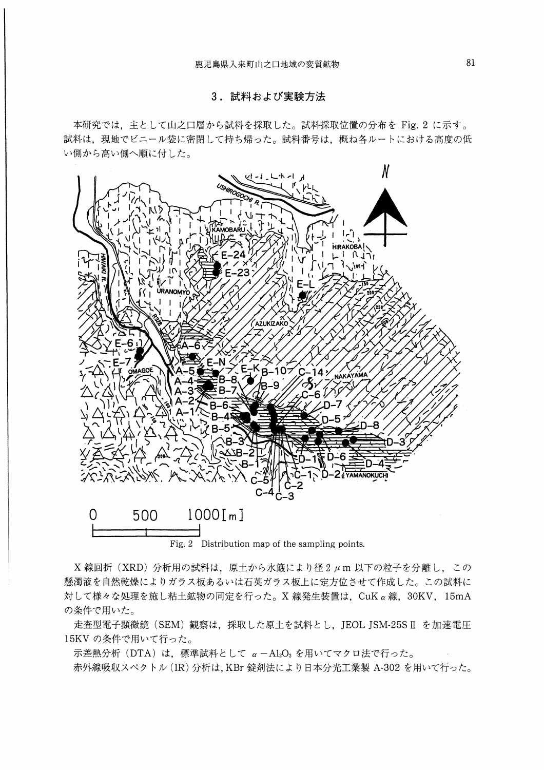# 3.試料および実験方法

本研究では、主として山之口層から試料を採取した。試料採取位置の分布を Fig. 2 に示す。 試料は,現地でビニール袋に密閉して持ち帰った。試料番号は,概ね各ルートにおける高度の低 い側から高い側へ順に付した。



Fig. 2 Distribution map of the sampling points.

X線回折 (XRD) 分析用の試料は、原土から水簸により径2μm以下の粒子を分離し、この 懸濁液を自然乾燥によりガラス板あるいは石英ガラス板上に走方位させて作成した。この試料に 対して様々な処理を施し粘土鉱物の同定を行った。X線発生装置は、CuKα線, 30KV, 15mA の条件で用いた。

走査型電子顕微鏡 (SEM) 観察は、採取した原土を試料とし、JEOL JSM-25S II を加速電圧 15KVの条件で用いて行った。

 $\overline{\pi}$ 差熱分析 (DTA) は、標準試料として  $\alpha$  -Al2O3 を用いてマクロ法で行った。 赤外線吸収スペクトル(IR)分析は,KBr錠剤法により日本分光工業製A-302を用いて行った。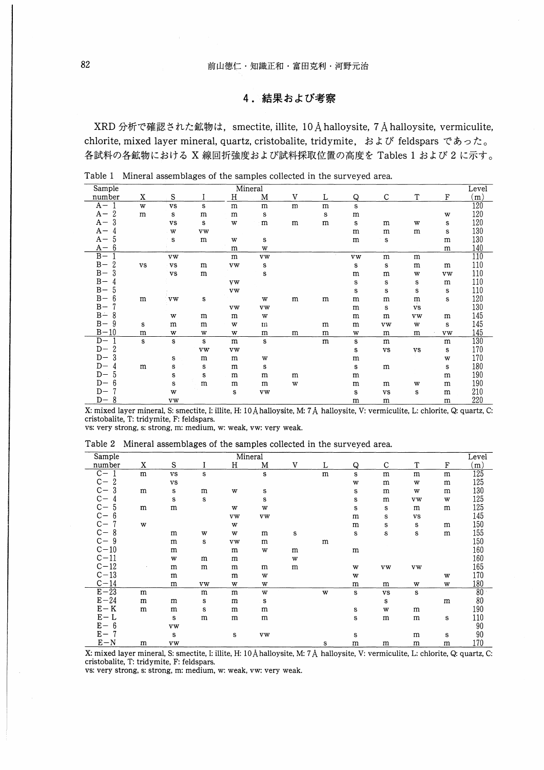## 4. 結果および考察

XRD 分析で確認された鉱物は、smectite, illite, 10 Å halloysite, 7 Å halloysite, vermiculite, chlorite, mixed layer mineral, quartz, cristobalite, tridymite, および feldspars であった。 各試料の各鉱物における X 線回折強度および試料採取位置の高度を Tables 1 および 2 に示す。

Level

| Sample     |           |    |   |   | Mineral |   |   |   |   |                 |  |
|------------|-----------|----|---|---|---------|---|---|---|---|-----------------|--|
| number     | ٦Z<br>-43 | ີ  |   |   | М       |   |   | ື |   | $\mathbf{\tau}$ |  |
| 77         | w         | vs |   | m | m       | m | m |   |   |                 |  |
| -<br>л<br> | m         |    | m | m | c       |   |   | m |   |                 |  |
| $\sim$     |           | VS |   | W | m       | m | m |   | m | w               |  |

Table 1 Mineral assemblages of the samples collected in the surveyed area.

| number     | x  | S           |    | н         | M  | v | L | Q           |             |           | F           | m,  |
|------------|----|-------------|----|-----------|----|---|---|-------------|-------------|-----------|-------------|-----|
| $A -$      | w  | vs          | s  | m         | m  | m | m | s           |             |           |             | 120 |
| 2<br>$A -$ | m  | s           | m  | m         | s  |   | s | m           |             |           | w           | 120 |
| 3<br>$A -$ |    | vs          | s  | W         | m  | m | m | $\mathbf S$ | m           | W         | s           | 120 |
| $A -$<br>4 |    | w           | vw |           |    |   |   | m           | m           | m         | s           | 130 |
| 5<br>$A -$ |    | $\mathbf S$ | m  | W         | s  |   |   | m           | $\mathbf S$ |           | m           | 130 |
| 6<br>$A -$ |    |             |    | m         | W  |   |   |             |             |           | m           | 140 |
| $B -$      |    | <b>VW</b>   |    | m         | vw |   |   | <b>vw</b>   | m           | m         |             | 110 |
| 2<br>$B -$ | vs | vs          | m  | vw        | s  |   |   | s           | s           | m         | m           | 110 |
| $B -$<br>3 |    | vs          | m  |           | s  |   |   | m           | m           | w         | <b>vw</b>   | 110 |
| $B -$<br>4 |    |             |    | <b>VW</b> |    |   |   | s           | s           | s         | m           | 110 |
| $B -$<br>5 |    |             |    | vw        |    |   |   | s           | s           | s         | s           | 110 |
| 6<br>$B -$ | m  | vw          | s  |           | W  | m | m | m           | m           | m         | $\mathbf S$ | 120 |
| $B -$      |    |             |    | <b>vw</b> | vw |   |   | m           | s           | VS        |             | 130 |
| 8<br>$B -$ |    | W           | m  | m         | w  |   |   | m           | m           | <b>VW</b> | m           | 145 |
| 9<br>$B -$ | s  | m           | m  | w         | m  |   | m | m           | <b>vw</b>   | Ŵ         | s           | 145 |
| $B-10$     | m  | w           | w  | w         | m  | m | m | W           | m           | m         | <b>vw</b>   | 145 |
| $D -$      | s  | s           | s  | m         | s  |   | m | s           | m           |           | m           | 130 |
| 2<br>$D-$  |    |             | vw | vw        |    |   |   | s           | vs          | vs        | s           | 170 |
| 3<br>$D-$  |    | s           | m  | m         | w  |   |   | m           |             |           | w           | 170 |
| $D-$<br>4  | m  | s           | s  | m         | s  |   |   | s           | m           |           | s           | 180 |
| 5<br>$D-$  |    | s           | s  | m         | m  | m |   | m           |             |           | m           | 190 |
| 6<br>$D-$  |    | s           | m  | m         | m  | W |   | m           | m           | w         | m           | 190 |
| $D-$       |    | w           |    | s         | vw |   |   | s           | vs          | s         | m           | 210 |
| 8<br>$D-$  |    | <b>vw</b>   |    |           |    |   |   | m           | m           |           | m           | 220 |

X: mixed layer mineral, S: smectite, I: illite, H: 10 A halloysite, M: 7 A halloysite, V: vermiculite, L: chlorite, Q: quartz, C: cristobalite, T: tridymite, F: feldspars.

 $\mathbf{a}$  and  $\mathbf{a}$  and  $\mathbf{a}$ 

vs: very strong, s: strong, m: medium, w: weak, vw: very weak.

 $\ddot{\phantom{a}}$ 

 $\overline{m}$  is  $\overline{a}$  in

|  | Table 2 Mineral assemblages of the samples collected in the surveyed area. |  |  |  |
|--|----------------------------------------------------------------------------|--|--|--|
|  |                                                                            |  |  |  |
|  |                                                                            |  |  |  |

 $\mathbf{r}$ 

 $\sim$   $\sim$ 

| Sample                  |   |           |    |    | Mineral |   |   |   |             |    |           | Level           |
|-------------------------|---|-----------|----|----|---------|---|---|---|-------------|----|-----------|-----------------|
| number                  | X | S         |    | Н  | M       | V | L | Q | С           | T  | F         | (m)             |
| $C -$                   | m | vs        | s  |    | s       |   | m | s | m           | m  | m         | 125             |
| $C -$<br>$\overline{2}$ |   | vs        |    |    |         |   |   | W | m           | w  | m         | 125             |
| $\mathrm{C}-$<br>3      | m | s         | m  | w  | s       |   |   | s | m           | w  | m         | 130             |
| $\mathbf{C}-$<br>4      |   | s         | s  |    | s       |   |   | s | m           | vw | W         | 125             |
| $C - C - C$<br>5        | m | m         |    | W  | W       |   |   | s | ${\bf s}$   | m  | m         | 125             |
| 6                       |   |           |    | vw | vw      |   |   | m | s           | vs |           | 145             |
| $\mathbf{C}-$           | W |           |    | W  |         |   |   | m | s           | s  | m         | 150             |
| $\mathbf{C}-$<br>8      |   | m         | w  | w  | m       | s |   | s | $\mathbf s$ | s  | m         | 155             |
| $C - 9$                 |   | m         | s  | vw | m       |   | m |   |             |    |           | 150             |
| $C-10$                  |   | m         |    | m  | w       | m |   | m |             |    |           | 160             |
| $C-11$                  |   | W         | m  | m  |         | W |   |   |             |    |           | 160             |
| $C-12$                  |   | m         | m  | m  | m       | m |   | w | vw          | vw |           | 165             |
| $C-13$                  |   | m         |    | m  | W       |   |   | W |             |    | W         | 170             |
| $C-14$                  |   | m         | vw | w  | W       |   |   | m | m           | w  | W         | 180             |
| $E-23$                  | m |           | m  | m  | W       |   | W | s | vs          | s  |           | $\overline{80}$ |
| $E-24$                  | m | m         | s  | m  | s       |   |   |   | ${\bf s}$   |    | m         | 80              |
| $E - K$                 | m | m         | s  | m  | m       |   |   | s | W           | m  |           | 190             |
| $E - L$                 |   | s         | m  | m  | m       |   |   | s | m           | m  | s         | 110             |
| $E - 6$                 |   | <b>vw</b> |    |    |         |   |   |   |             |    |           | 90              |
| $E -$                   |   | s         |    | s  | vw      |   |   | s |             | m  | ${\bf s}$ | 90              |
| $E-N$                   | m | vw        |    |    |         |   | s | m | m           | m  | m         | 170             |

X: mixed layer mineral, S: smectite, I: illite, H: 10 Å halloysite, M: 7 Å halloysite, V: vermiculite, L: chlorite, Q: quartz, C: cristobalite, T: tridymite, F: feldspars.

vs: very strong, s: strong, m: medium, w: weak, vw: very weak.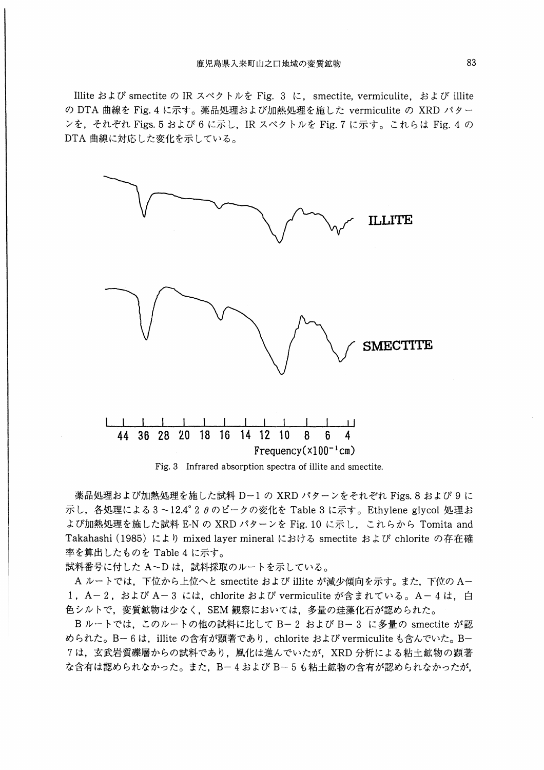miteおよびsmectiteのIRスペクトルをFig. 3 に, smectite, vermiculite,およびillite の DTA 曲線を Fig. 4 に示す。薬品処理および加熱処理を施した vermiculite の XRD パター ンを,それぞれ Figs. 5 および 6 に示し,IR スペクトルを Fig. 7 に示す。これらは Fig. 4 の DTA曲線に対応した変化を示している。



Fig. 3 Infrared absorption spectra of illite and smectite.

薬品処理および加熱処理を施した試料 D-1の XRD パターンをそれぞれ Figs. 8 および 9 に 示し, 各処理による3~12.4°2  $\theta$ のピークの変化を Table 3 に示す。 Ethylene glycol 処理お よび加熱処理を施した試料 E-N の XRD パターンを Fig. 10 に示し、これらから Tomita and Takahashi (1985) により mixed layer mineral における smectite および chlorite の存在確 率を算出したものをTable4に示す。

試料番号に付した A~D は、試料採取のルートを示している。

Aルートでは、下位から上位へと smectite および illite が減少傾向を示す。また、下位のA-1, A-2, および A-3 には, chlorite および vermiculite が含まれている。 A-4は, 白 色シルトで,変質鉱物は少なく, SEM観察においては,多量の珪藻化石が認められた。

B ルートでは、このルートの他の試料に比して B-2 および B-3 に多量の smectite が認 められた。B-6は、illite の含有が顕著であり、chlorite および vermiculite も含んでいた。B-7は,玄武岩質磯層からの試料であり,風化は進んでいたが, XRD分析による粘土鉱物の顕著 な含有は認められなかった。また、B-4および B-5も粘土鉱物の含有が認められなかったが.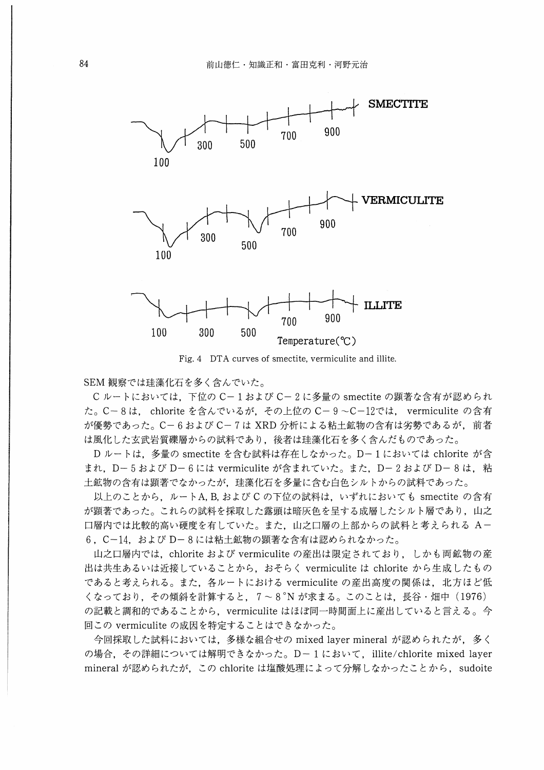

Fig. 4 DTA curves of smectite, vermiculite and illite.

SEM観察では珪藻化石を多く含んでいた。

Cルートにおいては、下位のC-1および C-2に多量の smectite の顕著な含有が認められ た。 C-8は, chloriteを含んでいるが,その上位のC-9-C-12では, vermiculiteの含有 が優勢であった。C-6および C-7は XRD 分析による粘土鉱物の含有は劣勢であるが, 前者 は風化した玄武岩質裸層からの試料であり,後者は珪藻化石を多く含んだものであった。

Dルートは、多量の smectite を含む試料は存在しなかった。 D-1においては chlorite が含 まれ、D-5および D-6には vermiculite が含まれていた。また、D-2および D-8は、粘 土鉱物の含有は顕著でなかったが,珪藻化石を多量に含む白色シルトからの試料であった。

以上のことから、ルートA, B, および C の下位の試料は、いずれにおいても smectite の含有 が顕著であった。これらの試料を採取した露頭は暗灰色を呈する成層したシルト層であり,山之 口層内では比較的高い硬度を有していた。また,山之口層の上部からの試料と考えられるA-6, C-14,およびD-8には粘土鉱物の顕著な含有は認められなかった。

山之口層内では、chlorite および vermiculite の産出は限定されており、しかも両鉱物の産 出は共生あるいは近接していることから、おそらく vermiculite は chlorite から生成したもの であると考えられる。また,各ルートにおけるvermiculiteの産出高度の関係は,北方ほど低 くなっており、その傾斜を計算すると、7~8°Nが求まる。このことは、長谷・畑中 (1976) の記載と調和的であることから、vermiculite はほぼ同一時間面上に産出していると言える。今 回この vermiculite の成因を特定することはできなかった。

今回採取した試料においては,多様な組合せのmixed layermineralが認められたが,多く の場合,その詳細については解明できなかった。 D- 1において, illite/chlorite mixed layer mineralが認められたが,このchloriteは塩酸処理によって分解しなかったことから, sudoite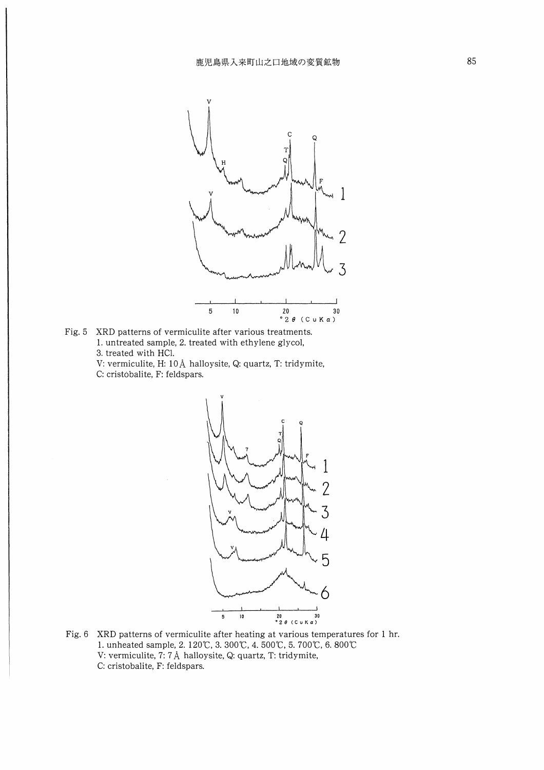

Fig. 5 XRD patterns of vermiculite after various treatments. 1. untreated sample, 2. treated with ethylene glycol, 3. treated with HCl. Ⅴ: vermiculite, H: 10Å halloysite, Q: quartz, T: tridymite,

C: cristobalite, F: feldspars.



Fig. 6 XRD patterns of vermiculite after heating at various temperatures for 1 hr. 1. unheated sample, 2. 120℃, 3. 300℃, 4. 500℃, 5. 700℃, 6. 800℃ V: vermiculite, 7: 7Å halloysite, Q: quartz, T: tridymite, C: cristobalite, F: feldspars.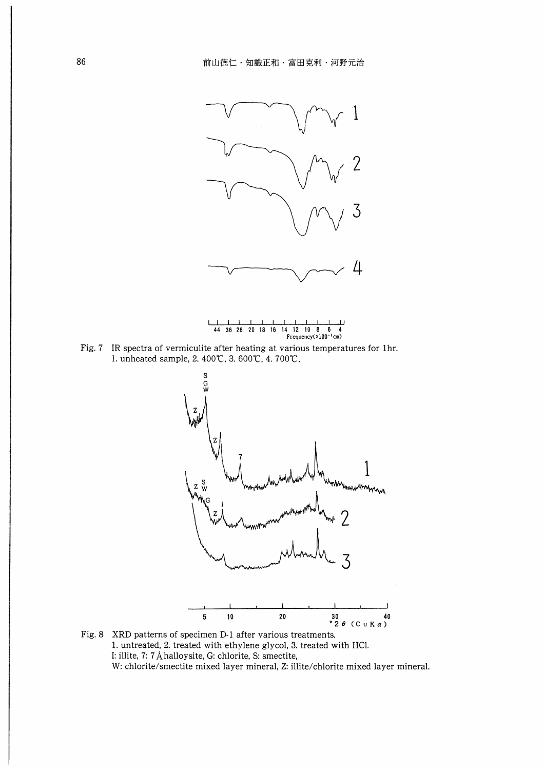



44 36 28 20 18 16



Fig. 8 XRD patterns of specimen D-1 after various treatments. 1. untreated, 2. treated with ethylene glycol, 3. treated with HCl. I: illite, 7: 7 Å halloysite, G: chlorite, S: smectite, W: chlorite/smectite mixed layer mineral, Z: illite/chlorite mixed layer mineral.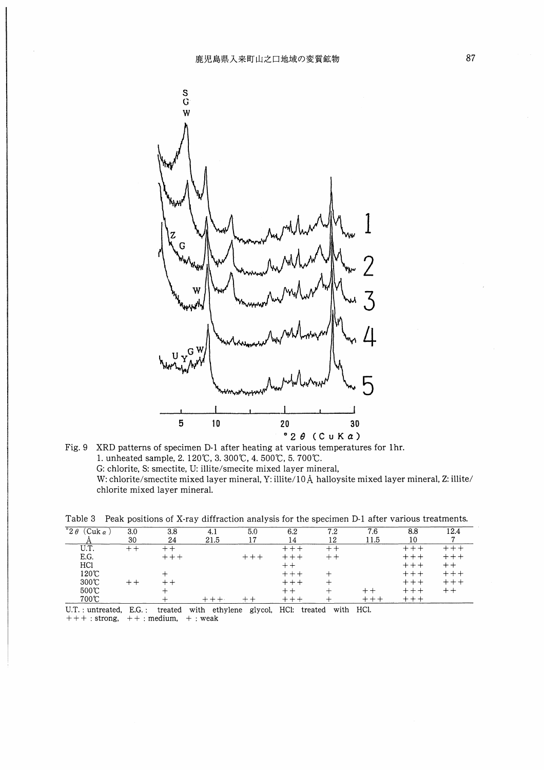

Fig. 9 XRD patterns of specimen D-l after heating at various temperatures for lhr. 1. unheated sample, 2. 120℃, 3. 300℃, 4. 500℃, 5. 700℃. G: chlorite, S: smectite, U: ilhte/smecite mixed layer mineral, W: chlorite/smectite mixed layer mineral, Y: illite/10A halloysite mixed layer mineral, Z: illite/ chlorite mixed layer mineral.

| Table 3 Peak positions of X-ray diffraction analysis for the specimen D-1 after various treatments. |
|-----------------------------------------------------------------------------------------------------|
|-----------------------------------------------------------------------------------------------------|

| $^{\circ}2\theta$<br>⌒<br>`uk α<br>◡ | 3.0   | 3.8 | 4.1  | 5.0 | 6.2 | 7.2 | 7.6  | 8.8 |  |
|--------------------------------------|-------|-----|------|-----|-----|-----|------|-----|--|
|                                      | 30    | 24  | 21.5 | 17  | 14  | 12  | 11.5 | 10  |  |
| U.T.                                 | $+ +$ |     |      |     |     | + + |      |     |  |
| E.G.                                 |       |     |      |     |     |     |      |     |  |
| HC1                                  |       |     |      |     |     |     |      |     |  |
| 120℃                                 |       |     |      |     |     |     |      |     |  |
| 300C                                 |       |     |      |     |     |     |      |     |  |
| 500℃                                 |       |     |      |     | ÷   |     |      |     |  |
| 700℃                                 |       |     |      |     |     |     |      |     |  |

U.T. : untreated, E.G∴ treated with ethylene glycol, HCl: treated with HCl.  $+++$ : strong,  $++$ : medium,  $+$ : weak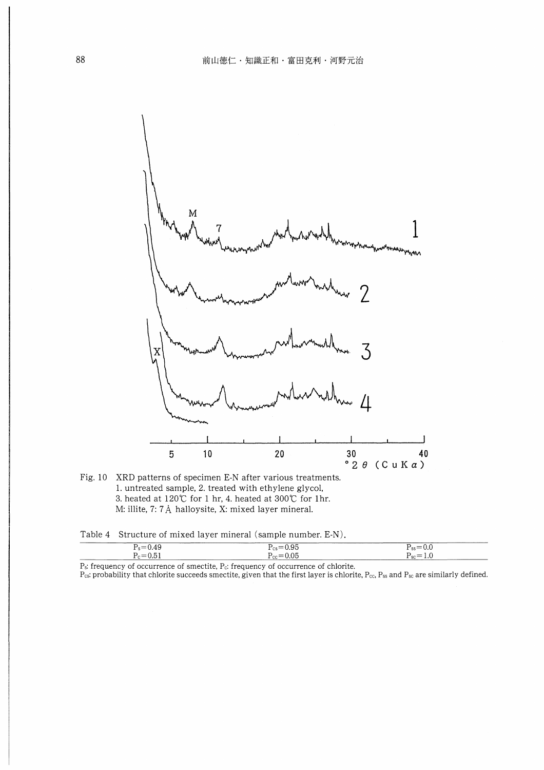

Fig. 10 XRD patterns of specimen E-N after various treatments. 1. untreated sample, 2. treated with ethylene glycol, 3. heated at 120℃ for 1 hr, 4. heated at 300℃ for 1 hr. M: illite, 7: 7Å halloysite, X: mixed layer mineral.

Table 4 Structure of mixed layer mineral (sample number. E-N).

|     |                          | --------                                                   |
|-----|--------------------------|------------------------------------------------------------|
| $-$ | -                        | $\sim$                                                     |
|     | $-$                      | . .<br>◡.<br>- 33                                          |
|     |                          |                                                            |
|     | $\overline{\phantom{a}}$ | <b>Contract Contract Contract</b><br>- - - - - -<br>.<br>ಀ |
|     |                          |                                                            |

P<sub>s</sub>: frequency of occurrence of smectite, P<sub>c</sub>: frequency of occurrence of chlorite.  $P_{cs}$ : probability that chlorite succeeds smectite, given that the first layer is chlorite,  $P_{cc}$ ,  $P_{ss}$  and  $P_{sc}$  are similarly defined.